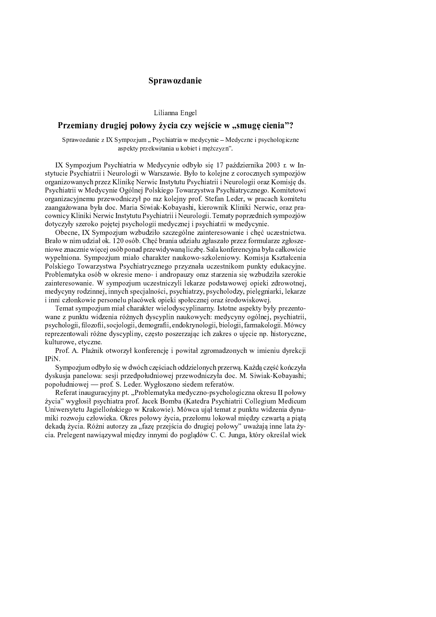## -

Lilianna Engel

## - - !

Sprawozdanie z IX Sympozjum "Psychiatria w medycynie – Medyczne i psychologiczn aspekty przekwitania u kobiet i meżczyzn".

IX Sympozjum Psychiatria w Medycynie odbyło się 17 października 2003 r. w Instytucie Psychiatrii i Neurologii w Warszawie. Było to kolejne z corocznych sympozjów organizowanych przez Klinikę Nerwic Instytutu Psychiatrii i Neurologii oraz Komisję ds. Psychiatrii w Medycynie Ogólnej Polskiego Towarzystwa Psychiatrycznego. Komitetowi organizacyjnemu przewodniczył po raz kolejny prof. Stefan Leder, w pracach komitetu zaangażowana była doc. Maria Siwiak-Kobayashi, kierownik Kliniki Nerwic, oraz pracownicy Kliniki Nerwic Instytutu Psychiatrii i Neurologii. Tematy poprzednich sympozjów dotyczyły szeroko pojętej psychologii medycznej i psychiatrii w medycynie.

Obecne, IX Sympozjum wzbudziło szczególne zainteresowanie i chęć uczestnictwa. Brało w nim udział ok. 120 osób. Chęć brania udziału zgłaszało przez formularze zgłoszeniowe znacznie więcej osób ponad przewidywaną liczbę. Sala konferencyjna była całkowicie wypełniona. Sympozjum miało charakter naukowo-szkoleniowy. Komisja Kształcenia Polskiego Towarzystwa Psychiatrycznego przyznała uczestnikom punkty edukacyjne. Problematyka osób w okresie meno- i andropauzy oraz starzenia się wzbudziła szerokie zainteresowanie. W sympozjum uczestniczyli lekarze podstawowej opieki zdrowotnej, medycyny rodzinnej, innych specjalności, psychiatrzy, psycholodzy, pielęgniarki, lekarze i inni członkowie personelu placówek opieki społecznej oraz środowiskowej.

Temat sympozjum miał charakter wielodyscyplinarny. Istotne aspekty były prezentowane z punktu widzenia różnych dyscyplin naukowych: medycyny ogólnej, psychiatrii, psychologii, filozofii, socjologii, demografii, endokrynologii, biologii, farmakologii. Mówcy reprezentowali różne dyscypliny, czesto poszerzając ich zakres o ujecie np. historyczne, kulturowe, etyczne.

Prof. A. Płaźnik otworzył konferencję i powitał zgromadzonych w imieniu dyrekcji  $IPiN$ .

Sympozjum odbyło się w dwóch częściach oddzielonych przerwą. Każdą część kończyła dyskusja panelowa: sesji przedpołudniowej przewodniczyła doc. M. Siwiak-Kobayashi; popołudniowej — prof. S. Leder. Wygłoszono siedem referatów.

Referat inauguracyjny pt. "Problematyka medyczno-psychologiczna okresu II połowy życia" wygłosił psychiatra prof. Jacek Bomba (Katedra Psychiatrii Collegium Medicum Uniwersytetu Jagiellońskiego w Krakowie). Mówca ujął temat z punktu widzenia dynamiki rozwoju człowieka. Okres połowy życia, przełomu lokował między czwartą a piątą dekadą życia. Różni autorzy za "fazę przejścia do drugiej połowy" uważają inne lata życia. Prelegent nawiązywał między innymi do poglądów C. C. Junga, który określał wiek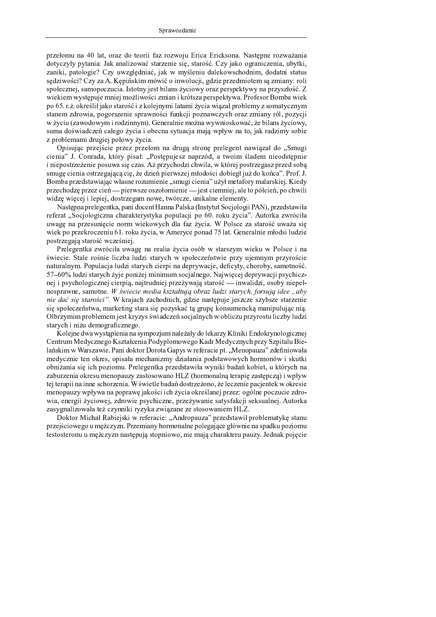przełomu na 40 lat, oraz do teorii faz rozwoju Erica Ericksona. Następne rozważania dotyczyły pytania: Jak analizować starzenie się, starość. Czy jako ograniczenia, ubytki, zaniki, patologie? Czy uwzględniać, jak w myśleniu dalekowschodnim, dodatni status sędziwości? Czy za A. Kępińskim mówić o inwolucji, gdzie przedmiotem są zmiany: roli społecznej, samopoczucia. Istotny jest bilans życiowy oraz perspektywy na przyszłość. Z wiekiem występuje mniej możliwości zmian i krótsza perspektywa. Profesor Bomba wiek po 65. r.ż. określił jako starość i z kolejnymi latami życia wiązał problemy z somatycznym stanem zdrowia, pogorszenie sprawności funkcji poznawczych oraz zmiany ról, pozycji w życiu (zawodowym i rodzinnym). Generalnie można wywnioskować, że bilans życiowy, suma doświadczeń całego życia i obecna sytuacja mają wpływ na to, jak radzimy sobie z problemami drugiej połowy życia.

 $\alpha$  is the merical measure of  $\alpha$  is detected strong mediagont nottinged do. Come cienia" J. Conrada, który pisał: "Postępujesz naprzód, a twoim śladem nieodstępnie i niepostrzeżenie posuwa się czas. Aż przychodzi chwila, w której postrzegasz przed sobą smugę cienia ostrzegającą cię, że dzień pierwszej młodości dobiegł już do końca". Prof. J. Bomba przedstawiając własne rozumienie "smugi cienia" użył metafory malarskiej. Kiedy przechodzę przez cień — pierwsze oszołomienie — jest ciemniej, ale to półcień, po chwili widzę więcej i lepiej, dostrzegam nowe, twórcze, unikalne elementy.

Następna prelegentka, pani docent Hanna Palska (Instytut Socjologii PAN), przedstawiła referat "Socjologiczna charakterystyka populacji po 60. roku życia". Autorka zwróciła uwagę na przesunięcie norm wiekowych dla faz życia. W Polsce za starość uważa się wiek po przekroczeniu 61. roku życia, w Ameryce ponad 75 lat. Generalnie młodsi ludzie postrzegają starość wcześniej.

Prelegentka zwróciła uwagę na realia życia osób w starszym wieku w Polsce i na świecie. Stale rośnie liczba ludzi starych w społeczeństwie przy ujemnym przyroście naturalnym. Populacja ludzi starych cierpi na deprywacje, deficyty, choroby, samotność.  $57-60\%$  ludzi starych żyje poniżej minimum socjalnego. Najwięcej deprywacji psychicznej i psychologicznej cierpią, najtrudniej przeżywają starość — inwalidzi, osoby niepełnosprawne, samotne. W świecie media kształtują obraz ludzi starych, forsują idee "aby nie dać się starości". W krajach zachodnich, gdzie następuje jeszcze szybsze starzenie się społeczeństwa, marketing stara się pozyskać tą grupę konsumencką manipulując nią.  $\bigcap$ kurymine nuoklamens iast kuymus świederań saaiokuysk w aktieru nurwostu liarky ludr starych i niżu demograficznego.

Kolejne dwa wystąpienia na sympozjum należały do lekarzy Kliniki Endokrynologicznej Centrum Medycznego Kształcenia Podyplomowego Kadr Medycznych przy Szpitalu Bielańskim w Warszawie. Pani doktor Dorota Gapys w referacie pt. "Menopauza" zdefiniowała medycznie ten okres, opisała mechanizmy działania podstawowych hormonów i skutki obniżania się ich poziomu. Prelegentka przedstawiła wyniki badań kobiet, u których na zaburzenia okresu menopauzy zastosowano HLZ (hormonalną terapię zastępczą) i wpływ tej terapii na inne schorzenia. W świetle badań dostrzeżono, że leczenie pacjentek w okresie menopauzy wpływa na poprawę jakości ich życia określanej przez: ogólne poczucie zdrowia, energii życiowej, zdrowie psychiczne, przeżywanie satysfakcji seksualnej. Autorka zasygnalizowała też czynniki ryzyka związane ze stosowaniem HLZ.

Doktor Michał Rabiejski w referacie: "Andropauza" przedstawił problematykę stanu przejściowego u mężczyzn. Przemiany hormonalne polegające głównie na spadku poziomu testosteronu u mężczyzn następują stopniowo, nie mają charakteru pauzy. Jednak pojęcie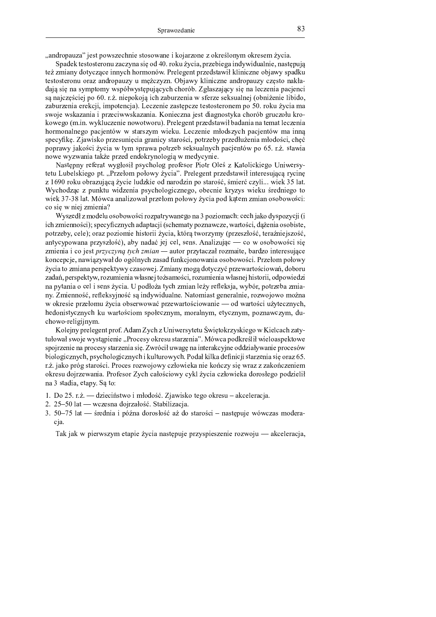"andropauza" jest powszechnie stosowane i kojarzone z określonym okresem życia.

Spadek testosteronu zaczyna się od 40. roku życia, przebiega indywidualnie, następują też zmiany dotyczące innych hormonów. Prelegent przedstawił kliniczne objawy spadku testosteronu oraz andropauzy u mężczyzn. Objawy kliniczne andropauzy często nakładają się na symptomy współwystępujących chorób. Zgłaszający się na leczenia pacjenci są najczęściej po 60. r.ż. niepokoją ich zaburzenia w sferze seksualnej (obniżenie libido, zaburzenia erekcji, impotencja). Leczenie zastępcze testosteronem po 50. roku życia ma swoje wskazania i przeciwwskazania. Konieczna jest diagnostyka chorób gruczołu krokowego (m.in. wykluczenie nowotworu). Prelegent przedstawił badania na temat leczenia hormonalnego pacjentów w starszym wieku. Leczenie młodszych pacjentów ma inną specyfikę. Zjawisko przesunięcia granicy starości, potrzeby przedłużenia młodości, chęć poprawy jakości życia w tym sprawa potrzeb seksualnych pacjentów po 65. r.ż. stawia nowe wyzwania także przed endokrynologią w medycynie.

Następny referat wygłosił psycholog profesor Piotr Oleś z Katolickiego Uniwersytetu Lubelskiego pt. "Przełom połowy życia". Prelegent przedstawił interesującą rycinę z 1690 roku obrazującą życie ludzkie od narodzin po starość, śmierć czyli... wiek 35 lat. Wychodząc z punktu widzenia psychologicznego, obecnie kryzys wieku średniego to wiek 37-38 lat. Mówca analizował przełom połowy życia pod kątem zmian osobowości: co się w niej zmienia?

Wyszedł z modelu osobowości rozpatrywanego na 3 poziomach: cech jako dyspozycji (i ich zmienności); specyficznych adaptacji (schematy poznawcze, wartości, dążenia osobiste, potrzeby, cele); oraz poziomie historii życia, którą tworzymy (przeszłość, teraźniejszość, antycypowana przyszłość), aby nadać jej cel, sens. Analizując — co w osobowości się zmienia i co jest przyczyną tych zmian — autor przytaczał rozmaite, bardzo interesujące koncepcje, nawiązywał do ogólnych zasad funkcjonowania osobowości. Przełom połowy życia to zmiana perspektywy czasowej. Zmiany mogą dotyczyć przewartościowań, doboru zadań, perspektyw, rozumienia własnej tożsamości, rozumienia własnej historii, odpowiedzi na pytania o cel i sens życia. U podłoża tych zmian leży refleksja, wybór, potrzeba zmiany. Zmienność, refleksyjność są indywidualne. Natomiast generalnie, rozwojowo można w okresie przełomu życia obserwować przewartościowanie — od wartości użytecznych, hedonistycznych ku wartościom społecznym, moralnym, etycznym, poznawczym, duchowo-religijnym.

Kolejny prelegent prof. Adam Zych z Uniwersytetu Świętokrzyskiego w Kielcach zatytułował swoje wystąpienie "Procesy okresu starzenia". Mówca podkreślił wieloaspektowe spojrzenie na procesy starzenia się. Zwrócił uwagę na interakcyjne oddziaływanie procesów biologicznych, psychologicznych i kulturowych. Podał kilka definicji starzenia się oraz 65. r.ż. jako próg starości. Proces rozwojowy człowieka nie kończy się wraz z zakończeniem okresu doirzewania. Profesor Zych całościowy cykl życia człowieka dorosłego podzielił na 3 stadia, etapy. Są to:

- 1. Do 25. r.ż. dzieciństwo i młodość. Zjawisko tego okresu akceleracja.
- 2. 25-50 lat wczesna dojrzałość. Stabilizacja.
- 3. 50–75 lat średnia i późna dorosłość aż do starości następuje wówczas moderacia.

Tak jak w pierwszym etapie życia następuje przyspieszenie rozwoju — akceleracja,